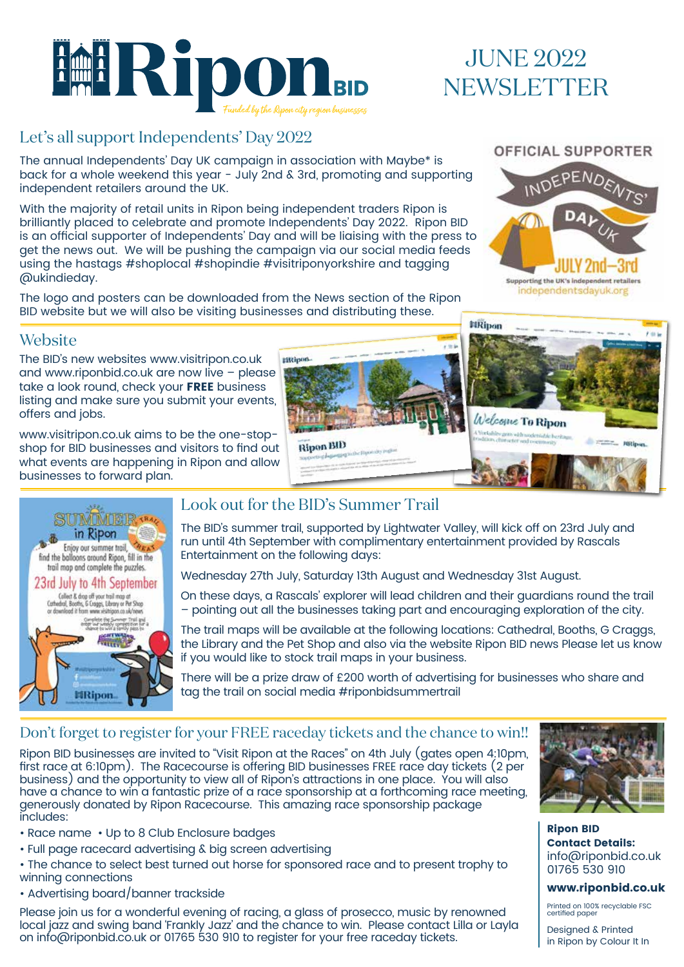

# JUNE 2022 NEWSLETTER

# Let's all support Independents' Day 2022

The annual Independents' Day UK campaign in association with Maybe\* is back for a whole weekend this year - July 2nd & 3rd, promoting and supporting independent retailers around the UK.

With the majority of retail units in Ripon being independent traders Ripon is brilliantly placed to celebrate and promote Independents' Day 2022. Ripon BID is an official supporter of Independents' Day and will be liaising with the press to get the news out. We will be pushing the campaign via our social media feeds using the hastags #shoplocal #shopindie #visitriponyorkshire and tagging @ukindieday.

The logo and posters can be downloaded from the News section of the Ripon BID website but we will also be visiting businesses and distributing these.

### OFFICIAL SUPPORTER



### **Website**

The BID's new websites www.visitripon.co.uk and www.riponbid.co.uk are now live – please take a look round, check your FREE business listing and make sure you submit your events, offers and jobs.

www.visitripon.co.uk aims to be the one-stopshop for BID businesses and visitors to find out what events are happening in Ripon and allow businesses to forward plan.





# Look out for the BID's Summer Trail

The BID's summer trail, supported by Lightwater Valley, will kick off on 23rd July and run until 4th September with complimentary entertainment provided by Rascals Entertainment on the following days:

Wednesday 27th July, Saturday 13th August and Wednesday 31st August.

On these days, a Rascals' explorer will lead children and their guardians round the trail – pointing out all the businesses taking part and encouraging exploration of the city.

The trail maps will be available at the following locations: Cathedral, Booths, G Craggs, the Library and the Pet Shop and also via the website Ripon BID news Please let us know if you would like to stock trail maps in your business.

There will be a prize draw of £200 worth of advertising for businesses who share and tag the trail on social media #riponbidsummertrail

### Don't forget to register for your FREE raceday tickets and the chance to win!!

Ripon BID businesses are invited to "Visit Ripon at the Races" on 4th July (gates open 4:10pm, first race at 6:10pm). The Racecourse is offering BID businesses FREE race day tickets (2 per business) and the opportunity to view all of Ripon's attractions in one place. You will also have a chance to win a fantastic prize of a race sponsorship at a forthcoming race meeting, generously donated by Ripon Racecourse. This amazing race sponsorship package includes:

- Race name Up to 8 Club Enclosure badges
- Full page racecard advertising & big screen advertising
- The chance to select best turned out horse for sponsored race and to present trophy to winning connections
- Advertising board/banner trackside

Please join us for a wonderful evening of racing, a glass of prosecco, music by renowned local jazz and swing band 'Frankly Jazz' and the chance to win. Please contact Lilla or Layla on info@riponbid.co.uk or 01765 530 910 to register for your free raceday tickets.



Ripon BID Contact Details: info@riponbid.co.uk 01765 530 910

#### www.riponbid.co.uk

Printed on 100% recyclable FSC certified paper

Designed & Printed in Ripon by Colour It In